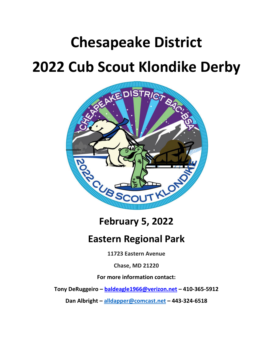# **Chesapeake District 2022 Cub Scout Klondike Derby**



**February 5, 2022**

## **Eastern Regional Park**

**11723 Eastern Avenue**

**Chase, MD 21220**

**For more information contact:**

**Tony DeRuggeiro – baldeagle1966@verizon.net – 410‐365‐5912**

**Dan Albright – alldapper@comcast.net – 443‐324‐6518**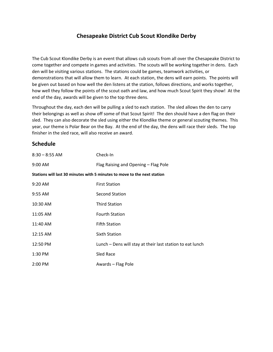### **Chesapeake District Cub Scout Klondike Derby**

The Cub Scout Klondike Derby is an event that allows cub scouts from all over the Chesapeake District to come together and compete in games and activities. The scouts will be working together in dens. Each den will be visiting various stations. The stations could be games, teamwork activities, or demonstrations that will allow them to learn. At each station, the dens will earn points. The points will be given out based on how well the den listens at the station, follows directions, and works together, how well they follow the points of the scout oath and law, and how much Scout Spirit they show! At the end of the day, awards will be given to the top three dens.

Throughout the day, each den will be pulling a sled to each station. The sled allows the den to carry their belongings as well as show off some of that Scout Spirit! The den should have a den flag on their sled. They can also decorate the sled using either the Klondike theme or general scouting themes. This year, our theme is Polar Bear on the Bay. At the end of the day, the dens will race their sleds. The top finisher in the sled race, will also receive an award.

#### **Schedule**

| $8:30 - 8:55$ AM                                                         | Check-In                                                  |
|--------------------------------------------------------------------------|-----------------------------------------------------------|
| $9:00$ AM                                                                | Flag Raising and Opening - Flag Pole                      |
| Stations will last 30 minutes with 5 minutes to move to the next station |                                                           |
| $9:20$ AM                                                                | <b>First Station</b>                                      |
| 9:55 AM                                                                  | <b>Second Station</b>                                     |
| 10:30 AM                                                                 | <b>Third Station</b>                                      |
| 11:05 AM                                                                 | <b>Fourth Station</b>                                     |
| 11:40 AM                                                                 | <b>Fifth Station</b>                                      |
| 12:15 AM                                                                 | Sixth Station                                             |
| 12:50 PM                                                                 | Lunch - Dens will stay at their last station to eat lunch |
| 1:30 PM                                                                  | Sled Race                                                 |
| 2:00 PM                                                                  | Awards - Flag Pole                                        |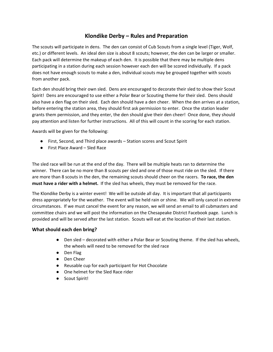### **Klondike Derby – Rules and Preparation**

The scouts will participate in dens. The den can consist of Cub Scouts from a single level (Tiger, Wolf, etc.) or different levels. An ideal den size is about 8 scouts; however, the den can be larger or smaller. Each pack will determine the makeup of each den. It is possible that there may be multiple dens participating in a station during each session however each den will be scored individually. If a pack does not have enough scouts to make a den, individual scouts may be grouped together with scouts from another pack.

Each den should bring their own sled. Dens are encouraged to decorate their sled to show their Scout Spirit! Dens are encouraged to use either a Polar Bear or Scouting theme for their sled. Dens should also have a den flag on their sled. Each den should have a den cheer. When the den arrives at a station, before entering the station area, they should first ask permission to enter. Once the station leader grants them permission, and they enter, the den should give their den cheer! Once done, they should pay attention and listen for further instructions. All of this will count in the scoring for each station.

Awards will be given for the following:

- First, Second, and Third place awards Station scores and Scout Spirit
- First Place Award Sled Race

The sled race will be run at the end of the day. There will be multiple heats ran to determine the winner. There can be no more than 8 scouts per sled and one of those must ride on the sled. If there are more than 8 scouts in the den, the remaining scouts should cheer on the racers. **To race, the den must have a rider with a helmet.** If the sled has wheels, they must be removed for the race.

The Klondike Derby is a winter event! We will be outside all day. It is important that all participants dress appropriately for the weather. The event will be held rain or shine. We will only cancel in extreme circumstances. If we must cancel the event for any reason, we will send an email to all cubmasters and committee chairs and we will post the information on the Chesapeake District Facebook page. Lunch is provided and will be served after the last station. Scouts will eat at the location of their last station.

#### **What should each den bring?**

- Den sled decorated with either a Polar Bear or Scouting theme. If the sled has wheels, the wheels will need to be removed for the sled race
- Den Flag
- Den Cheer
- Reusable cup for each participant for Hot Chocolate
- One helmet for the Sled Race rider
- Scout Spirit!